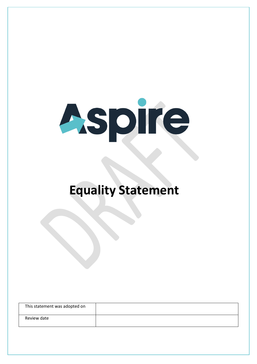

## **Equality Statement**

| This statement was adopted on |  |
|-------------------------------|--|
| Review date                   |  |